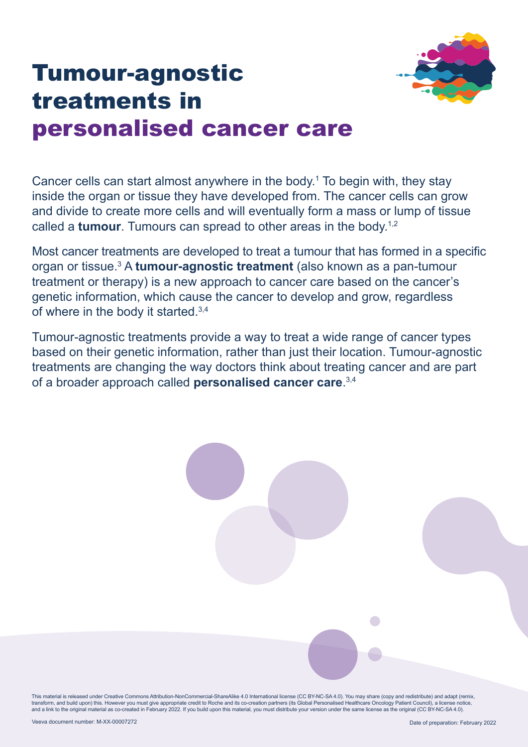

# Tumour-agnostic treatments in personalised cancer care

Cancer cells can start almost anywhere in the body.1 To begin with, they stay inside the organ or tissue they have developed from. The cancer cells can grow and divide to create more cells and will eventually form a mass or lump of tissue called a **tumour**. Tumours can spread to other areas in the body.1,2

Most cancer treatments are developed to treat a tumour that has formed in a specific organ or tissue.<sup>3</sup> A **tumour-agnostic treatment** (also known as a pan-tumour treatment or therapy) is a new approach to cancer care based on the cancer's genetic information, which cause the cancer to develop and grow, regardless of where in the body it started.<sup>3,4</sup>

Tumour-agnostic treatments provide a way to treat a wide range of cancer types based on their genetic information, rather than just their location. Tumour-agnostic treatments are changing the way doctors think about treating cancer and are part of a broader approach called **personalised cancer care**. 3,4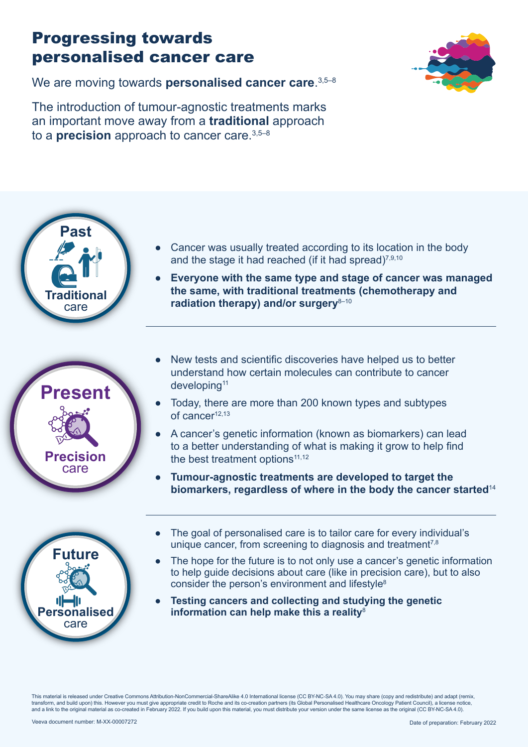## Progressing towards personalised cancer care



We are moving towards **personalised cancer care**. 3,5–8

The introduction of tumour-agnostic treatments marks an important move away from a **traditional** approach to a **precision** approach to cancer care.3,5–8







- Cancer was usually treated according to its location in the body and the stage it had reached (if it had spread) $7,9,10$
- **Everyone with the same type and stage of cancer was managed the same, with traditional treatments (chemotherapy and**  radiation therapy) and/or surgery<sup>8-10</sup>
- New tests and scientific discoveries have helped us to better understand how certain molecules can contribute to cancer developing<sup>11</sup>
- Today, there are more than 200 known types and subtypes of cancer<sup>12,13</sup>
- A cancer's genetic information (known as biomarkers) can lead to a better understanding of what is making it grow to help find the best treatment options $11,12$
- **Tumour-agnostic treatments are developed to target the biomarkers, regardless of where in the body the cancer started**<sup>14</sup>
- The goal of personalised care is to tailor care for every individual's unique cancer, from screening to diagnosis and treatment<sup> $7,8$ </sup>
- The hope for the future is to not only use a cancer's genetic information to help guide decisions about care (like in precision care), but to also consider the person's environment and lifestyle<sup>8</sup>
- **Testing cancers and collecting and studying the genetic information can help make this a reality**<sup>8</sup>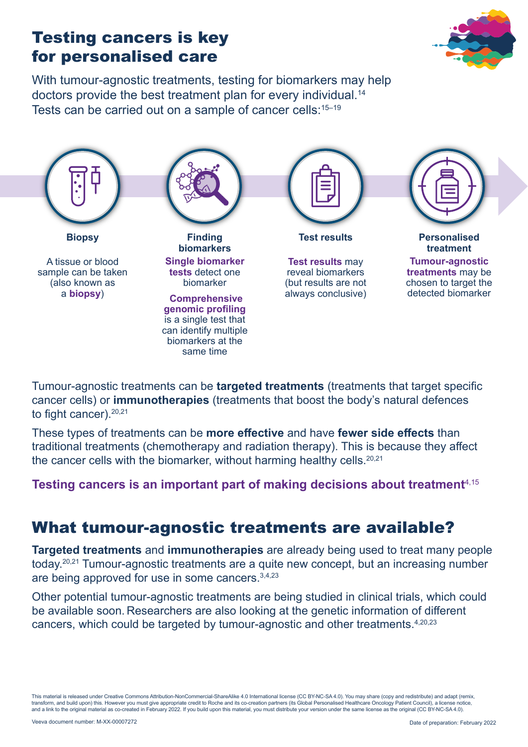#### Testing cancers is key for personalised care

With tumour-agnostic treatments, testing for biomarkers may help doctors provide the best treatment plan for every individual.14 Tests can be carried out on a sample of cancer cells:<sup>15-19</sup>



Tumour-agnostic treatments can be **targeted treatments** (treatments that target specific cancer cells) or **immunotherapies** (treatments that boost the body's natural defences to fight cancer). $20,21$ 

These types of treatments can be **more effective** and have **fewer side effects** than traditional treatments (chemotherapy and radiation therapy). This is because they affect the cancer cells with the biomarker, without harming healthy cells. $20,21$ 

**Testing cancers is an important part of making decisions about treatment**4,15

#### What tumour-agnostic treatments are available?

**Targeted treatments** and **immunotherapies** are already being used to treat many people today.20,21 Tumour-agnostic treatments are a quite new concept, but an increasing number are being approved for use in some cancers.3,4,23

Other potential tumour-agnostic treatments are being studied in clinical trials, which could be available soon. Researchers are also looking at the genetic information of different cancers, which could be targeted by tumour-agnostic and other treatments.4,20,23

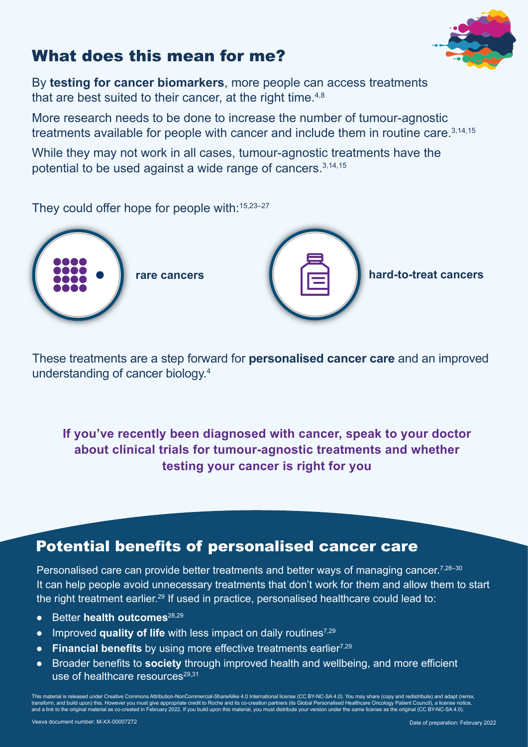# What does this mean for me?



By **testing for cancer biomarkers**, more people can access treatments that are best suited to their cancer, at the right time.<sup>4,8</sup>

More research needs to be done to increase the number of tumour-agnostic treatments available for people with cancer and include them in routine care.  $3,14,15$ 

While they may not work in all cases, tumour-agnostic treatments have the potential to be used against a wide range of cancers.3,14,15

They could offer hope for people with: 15,23-27



These treatments are a step forward for **personalised cancer care** and an improved understanding of cancer biology.4

**If you've recently been diagnosed with cancer, speak to your doctor about clinical trials for tumour-agnostic treatments and whether testing your cancer is right for you**

#### Potential benefits of personalised cancer care

Personalised care can provide better treatments and better ways of managing cancer.<sup>7,28–30</sup> It can help people avoid unnecessary treatments that don't work for them and allow them to start the right treatment earlier.<sup>29</sup> If used in practice, personalised healthcare could lead to:

- Better **health outcomes**28,29
- Improved **quality of life** with less impact on daily routines7,29
- **Financial benefits** by using more effective treatments earlier<sup>7,29</sup>
- Broader benefits to **society** through improved health and wellbeing, and more efficient use of healthcare resources<sup>29,31</sup>

This material is released under Creative Commons Attribution-NonCommercial-ShareAlike 4.0 International license (CC BY-NC-SA 4.0). You may share (copy and redistribute) and adapt (remix,<br>transform, and build upon) this. Ho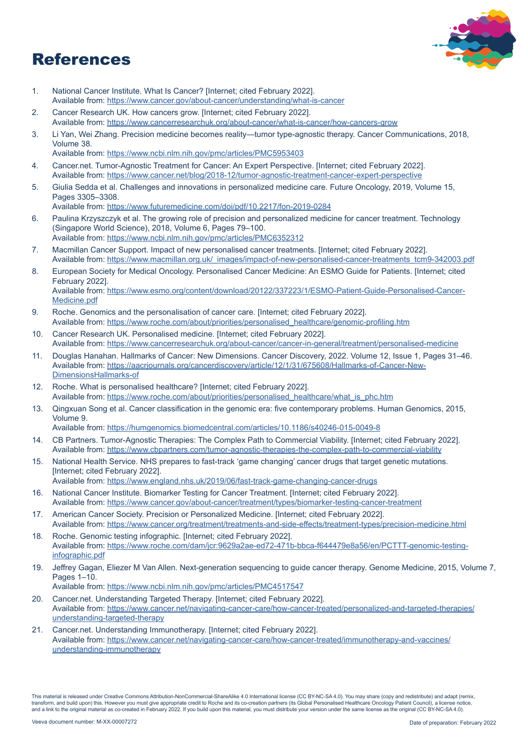### References



- 1. National Cancer Institute. What Is Cancer? [Internet; cited February 2022]. Available from: <https://www.cancer.gov/about-cancer/understanding/what-is-cancer>
- 2. Cancer Research UK. How cancers grow. [Internet; cited February 2022]. Available from: <https://www.cancerresearchuk.org/about-cancer/what-is-cancer/how-cancers-grow>
- 3. Li Yan, Wei Zhang. Precision medicine becomes reality—tumor type-agnostic therapy. Cancer Communications, 2018, Volume 38.
- Available from: <https://www.ncbi.nlm.nih.gov/pmc/articles/PMC5953403>
- 4. Cancer.net. Tumor-Agnostic Treatment for Cancer: An Expert Perspective. [Internet; cited February 2022]. Available from: [https://www.cancer.net/blog/2018-12/tumor-agnostic-treatment-cancer-expert-perspective](https://www.cancer.net/blog/2018-12/tumor-agnostic-treatment-cancer-expert-perspective )
- 5. Giulia Sedda et al. Challenges and innovations in personalized medicine care. Future Oncology, 2019, Volume 15, Pages 3305–3308.

Available from: <https://www.futuremedicine.com/doi/pdf/10.2217/fon-2019-0284>

- 6. Paulina Krzyszczyk et al. The growing role of precision and personalized medicine for cancer treatment. Technology (Singapore World Science), 2018, Volume 6, Pages 79–100. Available from: <https://www.ncbi.nlm.nih.gov/pmc/articles/PMC6352312>
- 7. Macmillan Cancer Support. Impact of new personalised cancer treatments. [Internet; cited February 2022]. Available from: [https://www.macmillan.org.uk/\\_images/impact-of-new-personalised-cancer-treatments\\_tcm9-342003.pdf](https://www.macmillan.org.uk/_images/impact-of-new-personalised-cancer-treatments_tcm9-342003.pdf)
- 8. European Society for Medical Oncology. Personalised Cancer Medicine: An ESMO Guide for Patients. [Internet; cited February 2022]. Available from: [https://www.esmo.org/content/download/20122/337223/1/ESMO-Patient-Guide-Personalised-Cancer-](https://www.esmo.org/content/download/20122/337223/1/ESMO-Patient-Guide-Personalised-Cancer-Medicine)[Medicine.pdf](https://www.esmo.org/content/download/20122/337223/1/ESMO-Patient-Guide-Personalised-Cancer-Medicine)
- 9. Roche. Genomics and the personalisation of cancer care. [Internet; cited February 2022]. Available from: [https://www.roche.com/about/priorities/personalised\\_healthcare/genomic-profiling.htm](https://www.roche.com/about/priorities/personalised_healthcare/genomic-profiling.htm)
- 10. Cancer Research UK. Personalised medicine. [Internet; cited February 2022]. Available from: <https://www.cancerresearchuk.org/about-cancer/cancer-in-general/treatment/personalised-medicine>
- 11. Douglas Hanahan. Hallmarks of Cancer: New Dimensions. Cancer Discovery, 2022. Volume 12, Issue 1, Pages 31–46. Available from: [https://aacrjournals.org/cancerdiscovery/article/12/1/31/675608/Hallmarks-of-Cancer-New-](https://aacrjournals.org/cancerdiscovery/article/12/1/31/675608/Hallmarks-of-Cancer-New-DimensionsHallmarks-of)[DimensionsHallmarks-of](https://aacrjournals.org/cancerdiscovery/article/12/1/31/675608/Hallmarks-of-Cancer-New-DimensionsHallmarks-of)
- 12. Roche. What is personalised healthcare? [Internet; cited February 2022]. Available from: [https://www.roche.com/about/priorities/personalised\\_healthcare/what\\_is\\_phc.htm](https://www.roche.com/about/priorities/personalised_healthcare/what_is_phc.htm)
- 13. Qingxuan Song et al. Cancer classification in the genomic era: five contemporary problems. Human Genomics, 2015, Volume 9.

Available from: <https://humgenomics.biomedcentral.com/articles/10.1186/s40246-015-0049-8>

- 14. CB Partners. Tumor-Agnostic Therapies: The Complex Path to Commercial Viability. [Internet; cited February 2022]. Available from: [https://www.cbpartners.com/tumor-agnostic-therapies-the-complex-path-to-commercial-viability](https://www.cbpartners.com/tumor-agnostic-therapies-the-complex-path-to-commercial-viability/)
- 15. National Health Service. NHS prepares to fast-track 'game changing' cancer drugs that target genetic mutations. [Internet; cited February 2022]. Available from: <https://www.england.nhs.uk/2019/06/fast-track-game-changing-cancer-drugs>
- 16. National Cancer Institute. Biomarker Testing for Cancer Treatment. [Internet; cited February 2022]. Available from: <https://www.cancer.gov/about-cancer/treatment/types/biomarker-testing-cancer-treatment>
- 17. American Cancer Society. Precision or Personalized Medicine. [Internet; cited February 2022]. Available from: <https://www.cancer.org/treatment/treatments-and-side-effects/treatment-types/precision-medicine.html>
- 18. Roche. Genomic testing infographic. [Internet; cited February 2022]. Available from: [https://www.roche.com/dam/jcr:9629a2ae-ed72-471b-bbca-f644479e8a56/en/PCTTT-genomic-testing](https://www.roche.com/dam/jcr:9629a2ae-ed72-471b-bbca-f644479e8a56/en/PCTTT-genomic-testing-infographic.pdf)[infographic.pdf](https://www.roche.com/dam/jcr:9629a2ae-ed72-471b-bbca-f644479e8a56/en/PCTTT-genomic-testing-infographic.pdf)
- 19. Jeffrey Gagan, Eliezer M Van Allen. Next-generation sequencing to guide cancer therapy. Genome Medicine, 2015, Volume 7, Pages 1–10.

Available from: <https://www.ncbi.nlm.nih.gov/pmc/articles/PMC4517547>

- 20. Cancer.net. Understanding Targeted Therapy. [Internet; cited February 2022]. Available from: [https://www.cancer.net/navigating-cancer-care/how-cancer-treated/personalized-and-targeted-therapies/](https://www.cancer.net/navigating-cancer-care/how-cancer-treated/personalized-and-targeted-therapies/understanding-targeted-therapy) [understanding-targeted-therapy](https://www.cancer.net/navigating-cancer-care/how-cancer-treated/personalized-and-targeted-therapies/understanding-targeted-therapy)
- 21. Cancer.net. Understanding Immunotherapy. [Internet; cited February 2022]. Available from: [https://www.cancer.net/navigating-cancer-care/how-cancer-treated/immunotherapy-and-vaccines/](https://www.cancer.net/navigating-cancer-care/how-cancer-treated/immunotherapy-and-vaccines/understanding-immunotherapy) [understanding-immunotherapy](https://www.cancer.net/navigating-cancer-care/how-cancer-treated/immunotherapy-and-vaccines/understanding-immunotherapy)